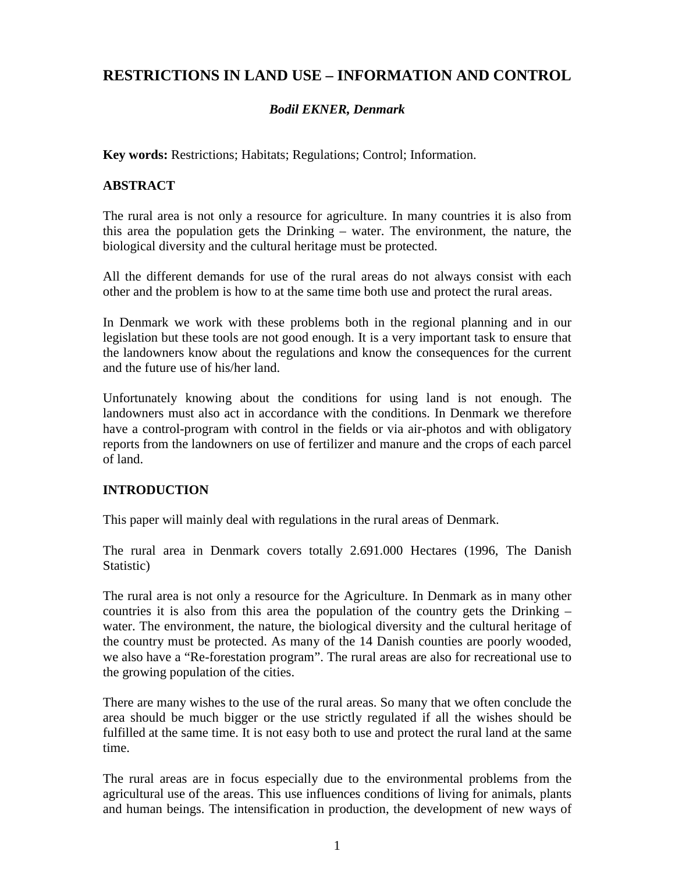# **RESTRICTIONS IN LAND USE – INFORMATION AND CONTROL**

### *Bodil EKNER, Denmark*

**Key words:** Restrictions; Habitats; Regulations; Control; Information.

### **ABSTRACT**

The rural area is not only a resource for agriculture. In many countries it is also from this area the population gets the Drinking – water. The environment, the nature, the biological diversity and the cultural heritage must be protected.

All the different demands for use of the rural areas do not always consist with each other and the problem is how to at the same time both use and protect the rural areas.

In Denmark we work with these problems both in the regional planning and in our legislation but these tools are not good enough. It is a very important task to ensure that the landowners know about the regulations and know the consequences for the current and the future use of his/her land.

Unfortunately knowing about the conditions for using land is not enough. The landowners must also act in accordance with the conditions. In Denmark we therefore have a control-program with control in the fields or via air-photos and with obligatory reports from the landowners on use of fertilizer and manure and the crops of each parcel of land.

### **INTRODUCTION**

This paper will mainly deal with regulations in the rural areas of Denmark.

The rural area in Denmark covers totally 2.691.000 Hectares (1996, The Danish Statistic)

The rural area is not only a resource for the Agriculture. In Denmark as in many other countries it is also from this area the population of the country gets the Drinking – water. The environment, the nature, the biological diversity and the cultural heritage of the country must be protected. As many of the 14 Danish counties are poorly wooded, we also have a "Re-forestation program". The rural areas are also for recreational use to the growing population of the cities.

There are many wishes to the use of the rural areas. So many that we often conclude the area should be much bigger or the use strictly regulated if all the wishes should be fulfilled at the same time. It is not easy both to use and protect the rural land at the same time.

The rural areas are in focus especially due to the environmental problems from the agricultural use of the areas. This use influences conditions of living for animals, plants and human beings. The intensification in production, the development of new ways of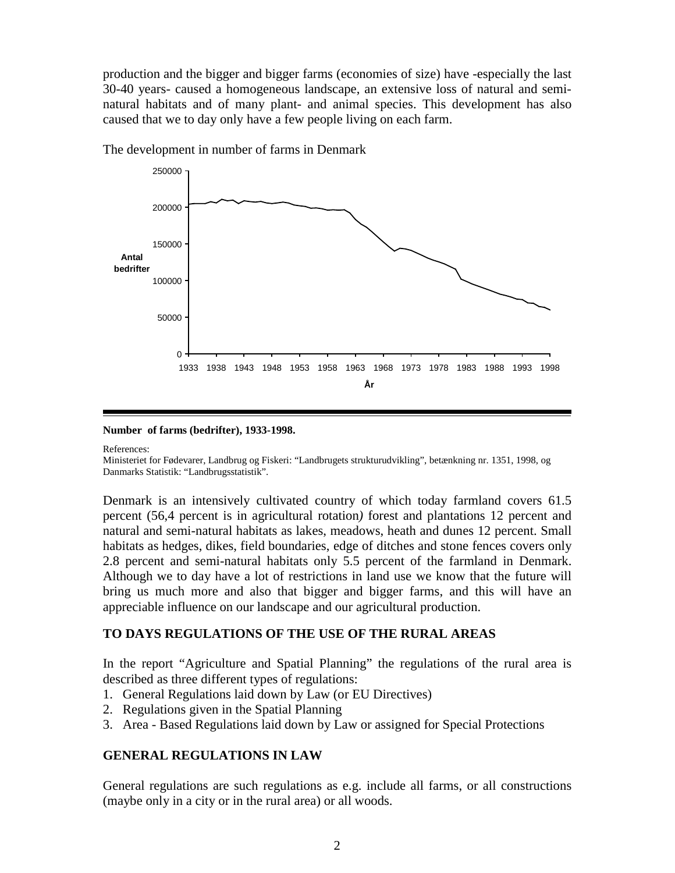production and the bigger and bigger farms (economies of size) have -especially the last 30-40 years- caused a homogeneous landscape, an extensive loss of natural and seminatural habitats and of many plant- and animal species. This development has also caused that we to day only have a few people living on each farm.



The development in number of farms in Denmark

#### **Number of farms (bedrifter), 1933-1998.**

References:

Ministeriet for Fødevarer, Landbrug og Fiskeri: "Landbrugets strukturudvikling", betænkning nr. 1351, 1998, og Danmarks Statistik: "Landbrugsstatistik".

Denmark is an intensively cultivated country of which today farmland covers 61.5 percent (56,4 percent is in agricultural rotation*)* forest and plantations 12 percent and natural and semi-natural habitats as lakes, meadows, heath and dunes 12 percent. Small habitats as hedges, dikes, field boundaries, edge of ditches and stone fences covers only 2.8 percent and semi-natural habitats only 5.5 percent of the farmland in Denmark. Although we to day have a lot of restrictions in land use we know that the future will bring us much more and also that bigger and bigger farms, and this will have an appreciable influence on our landscape and our agricultural production.

### **TO DAYS REGULATIONS OF THE USE OF THE RURAL AREAS**

In the report "Agriculture and Spatial Planning" the regulations of the rural area is described as three different types of regulations:

- 1. General Regulations laid down by Law (or EU Directives)
- 2. Regulations given in the Spatial Planning
- 3. Area Based Regulations laid down by Law or assigned for Special Protections

### **GENERAL REGULATIONS IN LAW**

General regulations are such regulations as e.g. include all farms, or all constructions (maybe only in a city or in the rural area) or all woods.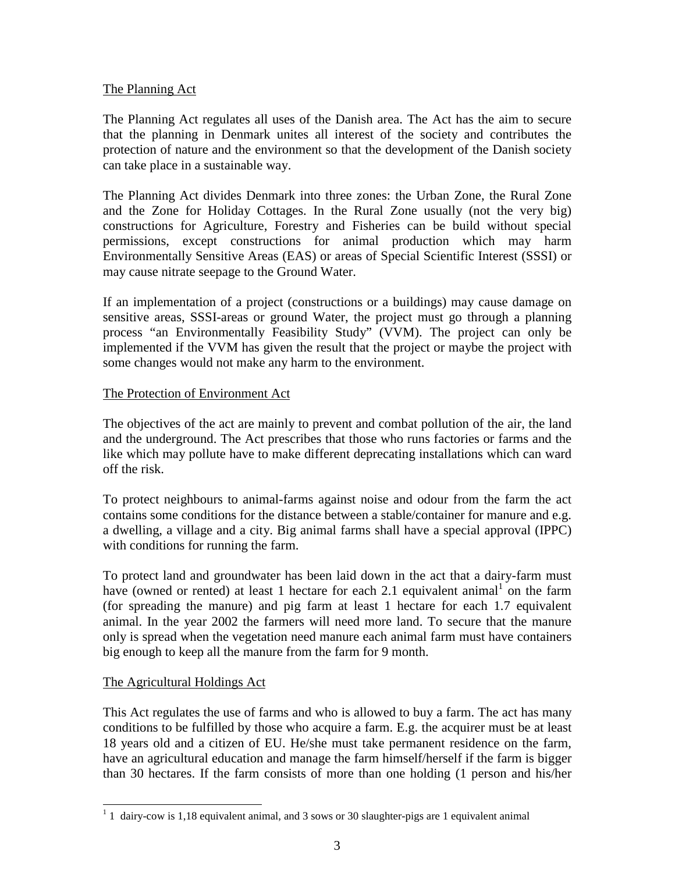### The Planning Act

The Planning Act regulates all uses of the Danish area. The Act has the aim to secure that the planning in Denmark unites all interest of the society and contributes the protection of nature and the environment so that the development of the Danish society can take place in a sustainable way.

The Planning Act divides Denmark into three zones: the Urban Zone, the Rural Zone and the Zone for Holiday Cottages. In the Rural Zone usually (not the very big) constructions for Agriculture, Forestry and Fisheries can be build without special permissions, except constructions for animal production which may harm Environmentally Sensitive Areas (EAS) or areas of Special Scientific Interest (SSSI) or may cause nitrate seepage to the Ground Water.

If an implementation of a project (constructions or a buildings) may cause damage on sensitive areas, SSSI-areas or ground Water, the project must go through a planning process "an Environmentally Feasibility Study" (VVM). The project can only be implemented if the VVM has given the result that the project or maybe the project with some changes would not make any harm to the environment.

### The Protection of Environment Act

The objectives of the act are mainly to prevent and combat pollution of the air, the land and the underground. The Act prescribes that those who runs factories or farms and the like which may pollute have to make different deprecating installations which can ward off the risk.

To protect neighbours to animal-farms against noise and odour from the farm the act contains some conditions for the distance between a stable/container for manure and e.g. a dwelling, a village and a city. Big animal farms shall have a special approval (IPPC) with conditions for running the farm.

To protect land and groundwater has been laid down in the act that a dairy-farm must have (owned or rented) at least 1 hectare for each 2.1 equivalent animal<sup>1</sup> on the farm (for spreading the manure) and pig farm at least 1 hectare for each 1.7 equivalent animal. In the year 2002 the farmers will need more land. To secure that the manure only is spread when the vegetation need manure each animal farm must have containers big enough to keep all the manure from the farm for 9 month.

### The Agricultural Holdings Act

This Act regulates the use of farms and who is allowed to buy a farm. The act has many conditions to be fulfilled by those who acquire a farm. E.g. the acquirer must be at least 18 years old and a citizen of EU. He/she must take permanent residence on the farm, have an agricultural education and manage the farm himself/herself if the farm is bigger than 30 hectares. If the farm consists of more than one holding (1 person and his/her

<sup>&</sup>lt;sup>1</sup> 1 dairy-cow is 1,18 equivalent animal, and 3 sows or 30 slaughter-pigs are 1 equivalent animal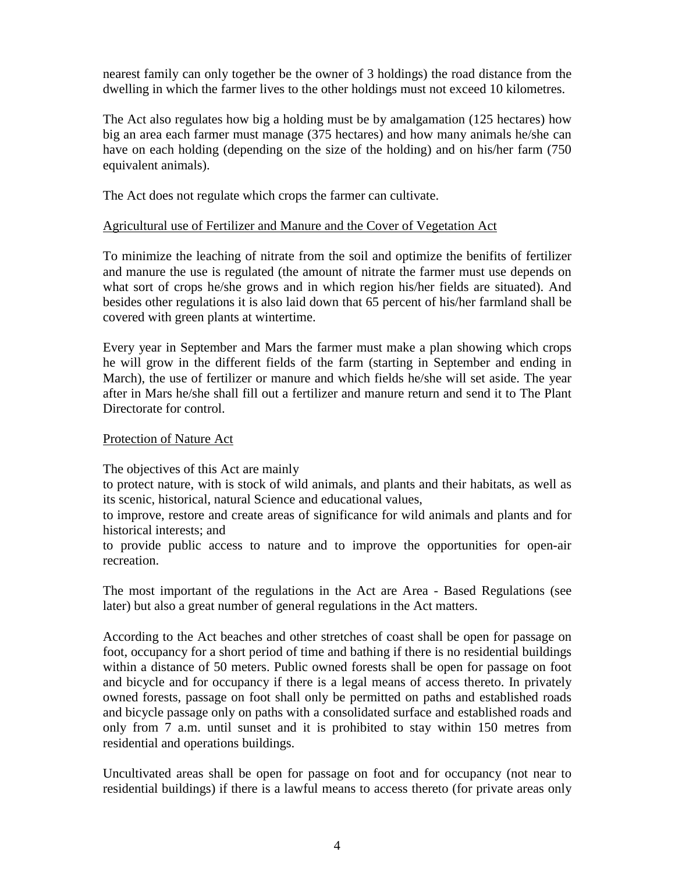nearest family can only together be the owner of 3 holdings) the road distance from the dwelling in which the farmer lives to the other holdings must not exceed 10 kilometres.

The Act also regulates how big a holding must be by amalgamation (125 hectares) how big an area each farmer must manage (375 hectares) and how many animals he/she can have on each holding (depending on the size of the holding) and on his/her farm (750 equivalent animals).

The Act does not regulate which crops the farmer can cultivate.

#### Agricultural use of Fertilizer and Manure and the Cover of Vegetation Act

To minimize the leaching of nitrate from the soil and optimize the benifits of fertilizer and manure the use is regulated (the amount of nitrate the farmer must use depends on what sort of crops he/she grows and in which region his/her fields are situated). And besides other regulations it is also laid down that 65 percent of his/her farmland shall be covered with green plants at wintertime.

Every year in September and Mars the farmer must make a plan showing which crops he will grow in the different fields of the farm (starting in September and ending in March), the use of fertilizer or manure and which fields he/she will set aside. The year after in Mars he/she shall fill out a fertilizer and manure return and send it to The Plant Directorate for control.

#### Protection of Nature Act

The objectives of this Act are mainly

to protect nature, with is stock of wild animals, and plants and their habitats, as well as its scenic, historical, natural Science and educational values,

to improve, restore and create areas of significance for wild animals and plants and for historical interests; and

to provide public access to nature and to improve the opportunities for open-air recreation.

The most important of the regulations in the Act are Area - Based Regulations (see later) but also a great number of general regulations in the Act matters.

According to the Act beaches and other stretches of coast shall be open for passage on foot, occupancy for a short period of time and bathing if there is no residential buildings within a distance of 50 meters. Public owned forests shall be open for passage on foot and bicycle and for occupancy if there is a legal means of access thereto. In privately owned forests, passage on foot shall only be permitted on paths and established roads and bicycle passage only on paths with a consolidated surface and established roads and only from 7 a.m. until sunset and it is prohibited to stay within 150 metres from residential and operations buildings.

Uncultivated areas shall be open for passage on foot and for occupancy (not near to residential buildings) if there is a lawful means to access thereto (for private areas only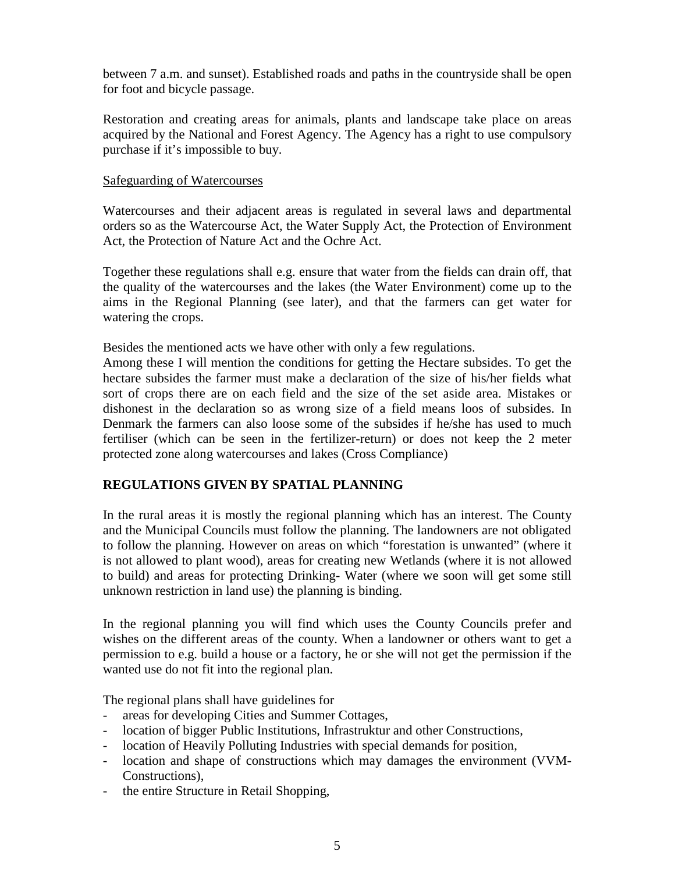between 7 a.m. and sunset). Established roads and paths in the countryside shall be open for foot and bicycle passage.

Restoration and creating areas for animals, plants and landscape take place on areas acquired by the National and Forest Agency. The Agency has a right to use compulsory purchase if it's impossible to buy.

#### Safeguarding of Watercourses

Watercourses and their adjacent areas is regulated in several laws and departmental orders so as the Watercourse Act, the Water Supply Act, the Protection of Environment Act, the Protection of Nature Act and the Ochre Act.

Together these regulations shall e.g. ensure that water from the fields can drain off, that the quality of the watercourses and the lakes (the Water Environment) come up to the aims in the Regional Planning (see later), and that the farmers can get water for watering the crops.

Besides the mentioned acts we have other with only a few regulations.

Among these I will mention the conditions for getting the Hectare subsides. To get the hectare subsides the farmer must make a declaration of the size of his/her fields what sort of crops there are on each field and the size of the set aside area. Mistakes or dishonest in the declaration so as wrong size of a field means loos of subsides. In Denmark the farmers can also loose some of the subsides if he/she has used to much fertiliser (which can be seen in the fertilizer-return) or does not keep the 2 meter protected zone along watercourses and lakes (Cross Compliance)

### **REGULATIONS GIVEN BY SPATIAL PLANNING**

In the rural areas it is mostly the regional planning which has an interest. The County and the Municipal Councils must follow the planning. The landowners are not obligated to follow the planning. However on areas on which "forestation is unwanted" (where it is not allowed to plant wood), areas for creating new Wetlands (where it is not allowed to build) and areas for protecting Drinking- Water (where we soon will get some still unknown restriction in land use) the planning is binding.

In the regional planning you will find which uses the County Councils prefer and wishes on the different areas of the county. When a landowner or others want to get a permission to e.g. build a house or a factory, he or she will not get the permission if the wanted use do not fit into the regional plan.

The regional plans shall have guidelines for

- areas for developing Cities and Summer Cottages,
- location of bigger Public Institutions, Infrastruktur and other Constructions,
- location of Heavily Polluting Industries with special demands for position,
- location and shape of constructions which may damages the environment (VVM-Constructions),
- the entire Structure in Retail Shopping,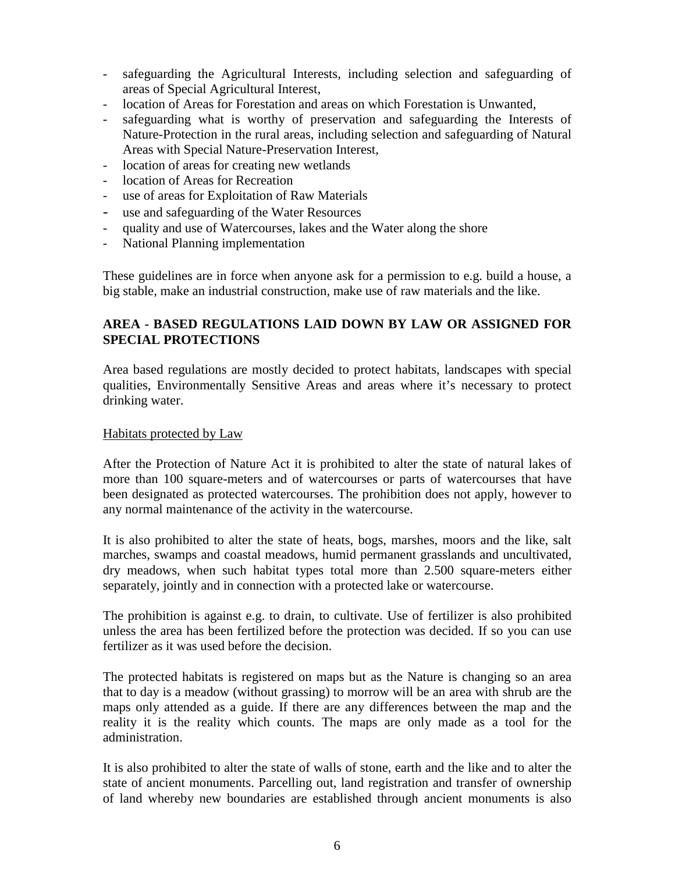- safeguarding the Agricultural Interests, including selection and safeguarding of areas of Special Agricultural Interest,
- location of Areas for Forestation and areas on which Forestation is Unwanted,
- safeguarding what is worthy of preservation and safeguarding the Interests of Nature-Protection in the rural areas, including selection and safeguarding of Natural Areas with Special Nature-Preservation Interest,
- location of areas for creating new wetlands
- location of Areas for Recreation
- use of areas for Exploitation of Raw Materials
- use and safeguarding of the Water Resources
- quality and use of Watercourses, lakes and the Water along the shore
- National Planning implementation

These guidelines are in force when anyone ask for a permission to e.g. build a house, a big stable, make an industrial construction, make use of raw materials and the like.

### **AREA - BASED REGULATIONS LAID DOWN BY LAW OR ASSIGNED FOR SPECIAL PROTECTIONS**

Area based regulations are mostly decided to protect habitats, landscapes with special qualities, Environmentally Sensitive Areas and areas where it's necessary to protect drinking water.

### Habitats protected by Law

After the Protection of Nature Act it is prohibited to alter the state of natural lakes of more than 100 square-meters and of watercourses or parts of watercourses that have been designated as protected watercourses. The prohibition does not apply, however to any normal maintenance of the activity in the watercourse.

It is also prohibited to alter the state of heats, bogs, marshes, moors and the like, salt marches, swamps and coastal meadows, humid permanent grasslands and uncultivated, dry meadows, when such habitat types total more than 2.500 square-meters either separately, jointly and in connection with a protected lake or watercourse.

The prohibition is against e.g. to drain, to cultivate. Use of fertilizer is also prohibited unless the area has been fertilized before the protection was decided. If so you can use fertilizer as it was used before the decision.

The protected habitats is registered on maps but as the Nature is changing so an area that to day is a meadow (without grassing) to morrow will be an area with shrub are the maps only attended as a guide. If there are any differences between the map and the reality it is the reality which counts. The maps are only made as a tool for the administration.

It is also prohibited to alter the state of walls of stone, earth and the like and to alter the state of ancient monuments. Parcelling out, land registration and transfer of ownership of land whereby new boundaries are established through ancient monuments is also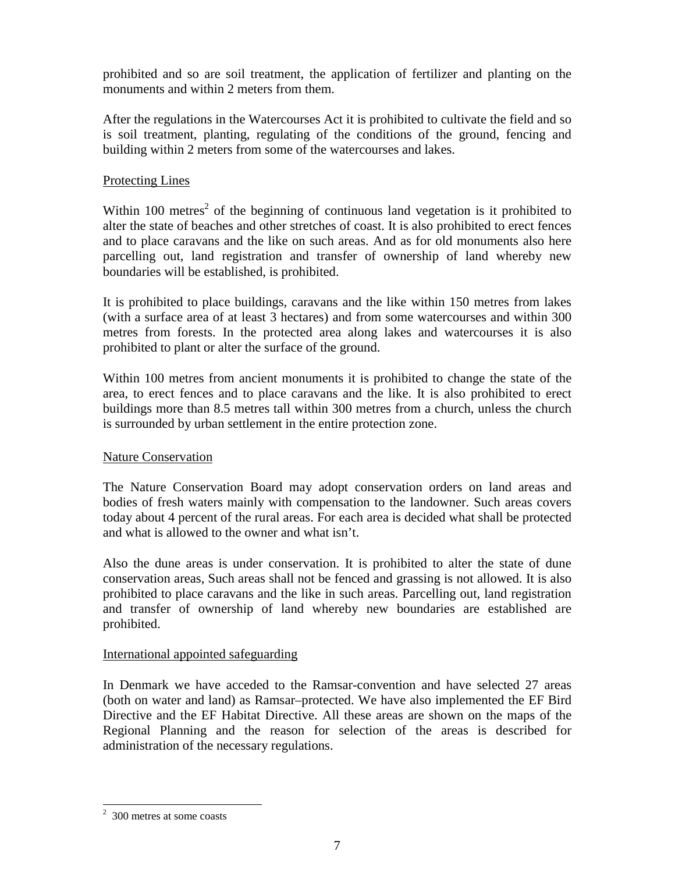prohibited and so are soil treatment, the application of fertilizer and planting on the monuments and within 2 meters from them.

After the regulations in the Watercourses Act it is prohibited to cultivate the field and so is soil treatment, planting, regulating of the conditions of the ground, fencing and building within 2 meters from some of the watercourses and lakes.

### Protecting Lines

Within 100 metres<sup>2</sup> of the beginning of continuous land vegetation is it prohibited to alter the state of beaches and other stretches of coast. It is also prohibited to erect fences and to place caravans and the like on such areas. And as for old monuments also here parcelling out, land registration and transfer of ownership of land whereby new boundaries will be established, is prohibited.

It is prohibited to place buildings, caravans and the like within 150 metres from lakes (with a surface area of at least 3 hectares) and from some watercourses and within 300 metres from forests. In the protected area along lakes and watercourses it is also prohibited to plant or alter the surface of the ground.

Within 100 metres from ancient monuments it is prohibited to change the state of the area, to erect fences and to place caravans and the like. It is also prohibited to erect buildings more than 8.5 metres tall within 300 metres from a church, unless the church is surrounded by urban settlement in the entire protection zone.

### Nature Conservation

The Nature Conservation Board may adopt conservation orders on land areas and bodies of fresh waters mainly with compensation to the landowner. Such areas covers today about 4 percent of the rural areas. For each area is decided what shall be protected and what is allowed to the owner and what isn't.

Also the dune areas is under conservation. It is prohibited to alter the state of dune conservation areas, Such areas shall not be fenced and grassing is not allowed. It is also prohibited to place caravans and the like in such areas. Parcelling out, land registration and transfer of ownership of land whereby new boundaries are established are prohibited.

### International appointed safeguarding

In Denmark we have acceded to the Ramsar-convention and have selected 27 areas (both on water and land) as Ramsar–protected. We have also implemented the EF Bird Directive and the EF Habitat Directive. All these areas are shown on the maps of the Regional Planning and the reason for selection of the areas is described for administration of the necessary regulations.

 2 300 metres at some coasts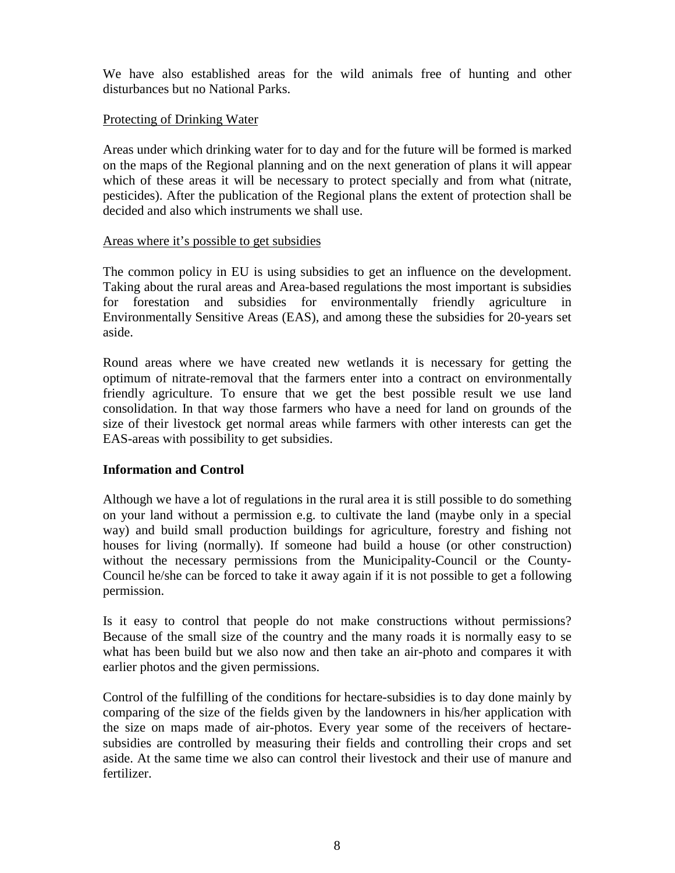We have also established areas for the wild animals free of hunting and other disturbances but no National Parks.

### Protecting of Drinking Water

Areas under which drinking water for to day and for the future will be formed is marked on the maps of the Regional planning and on the next generation of plans it will appear which of these areas it will be necessary to protect specially and from what (nitrate, pesticides). After the publication of the Regional plans the extent of protection shall be decided and also which instruments we shall use.

#### Areas where it's possible to get subsidies

The common policy in EU is using subsidies to get an influence on the development. Taking about the rural areas and Area-based regulations the most important is subsidies for forestation and subsidies for environmentally friendly agriculture in Environmentally Sensitive Areas (EAS), and among these the subsidies for 20-years set aside.

Round areas where we have created new wetlands it is necessary for getting the optimum of nitrate-removal that the farmers enter into a contract on environmentally friendly agriculture. To ensure that we get the best possible result we use land consolidation. In that way those farmers who have a need for land on grounds of the size of their livestock get normal areas while farmers with other interests can get the EAS-areas with possibility to get subsidies.

### **Information and Control**

Although we have a lot of regulations in the rural area it is still possible to do something on your land without a permission e.g. to cultivate the land (maybe only in a special way) and build small production buildings for agriculture, forestry and fishing not houses for living (normally). If someone had build a house (or other construction) without the necessary permissions from the Municipality-Council or the County-Council he/she can be forced to take it away again if it is not possible to get a following permission.

Is it easy to control that people do not make constructions without permissions? Because of the small size of the country and the many roads it is normally easy to se what has been build but we also now and then take an air-photo and compares it with earlier photos and the given permissions.

Control of the fulfilling of the conditions for hectare-subsidies is to day done mainly by comparing of the size of the fields given by the landowners in his/her application with the size on maps made of air-photos. Every year some of the receivers of hectaresubsidies are controlled by measuring their fields and controlling their crops and set aside. At the same time we also can control their livestock and their use of manure and fertilizer.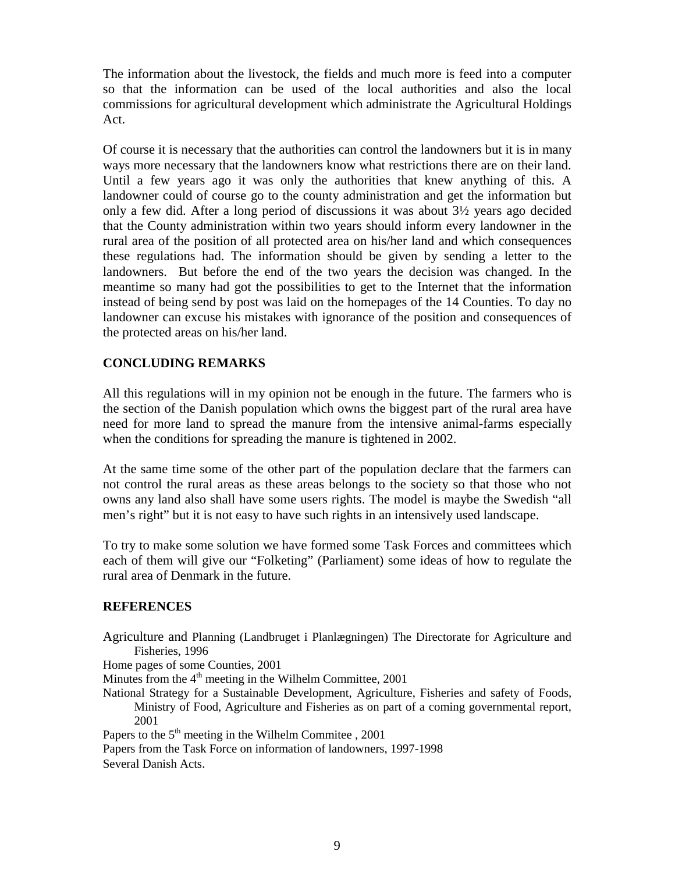The information about the livestock, the fields and much more is feed into a computer so that the information can be used of the local authorities and also the local commissions for agricultural development which administrate the Agricultural Holdings Act.

Of course it is necessary that the authorities can control the landowners but it is in many ways more necessary that the landowners know what restrictions there are on their land. Until a few years ago it was only the authorities that knew anything of this. A landowner could of course go to the county administration and get the information but only a few did. After a long period of discussions it was about 3½ years ago decided that the County administration within two years should inform every landowner in the rural area of the position of all protected area on his/her land and which consequences these regulations had. The information should be given by sending a letter to the landowners. But before the end of the two years the decision was changed. In the meantime so many had got the possibilities to get to the Internet that the information instead of being send by post was laid on the homepages of the 14 Counties. To day no landowner can excuse his mistakes with ignorance of the position and consequences of the protected areas on his/her land.

### **CONCLUDING REMARKS**

All this regulations will in my opinion not be enough in the future. The farmers who is the section of the Danish population which owns the biggest part of the rural area have need for more land to spread the manure from the intensive animal-farms especially when the conditions for spreading the manure is tightened in 2002.

At the same time some of the other part of the population declare that the farmers can not control the rural areas as these areas belongs to the society so that those who not owns any land also shall have some users rights. The model is maybe the Swedish "all men's right" but it is not easy to have such rights in an intensively used landscape.

To try to make some solution we have formed some Task Forces and committees which each of them will give our "Folketing" (Parliament) some ideas of how to regulate the rural area of Denmark in the future.

### **REFERENCES**

Agriculture and Planning (Landbruget i Planlægningen) The Directorate for Agriculture and Fisheries, 1996

Home pages of some Counties, 2001

Minutes from the  $4<sup>th</sup>$  meeting in the Wilhelm Committee, 2001

National Strategy for a Sustainable Development, Agriculture, Fisheries and safety of Foods, Ministry of Food, Agriculture and Fisheries as on part of a coming governmental report, 2001

Papers to the  $5<sup>th</sup>$  meeting in the Wilhelm Commitee , 2001

Papers from the Task Force on information of landowners, 1997-1998 Several Danish Acts.